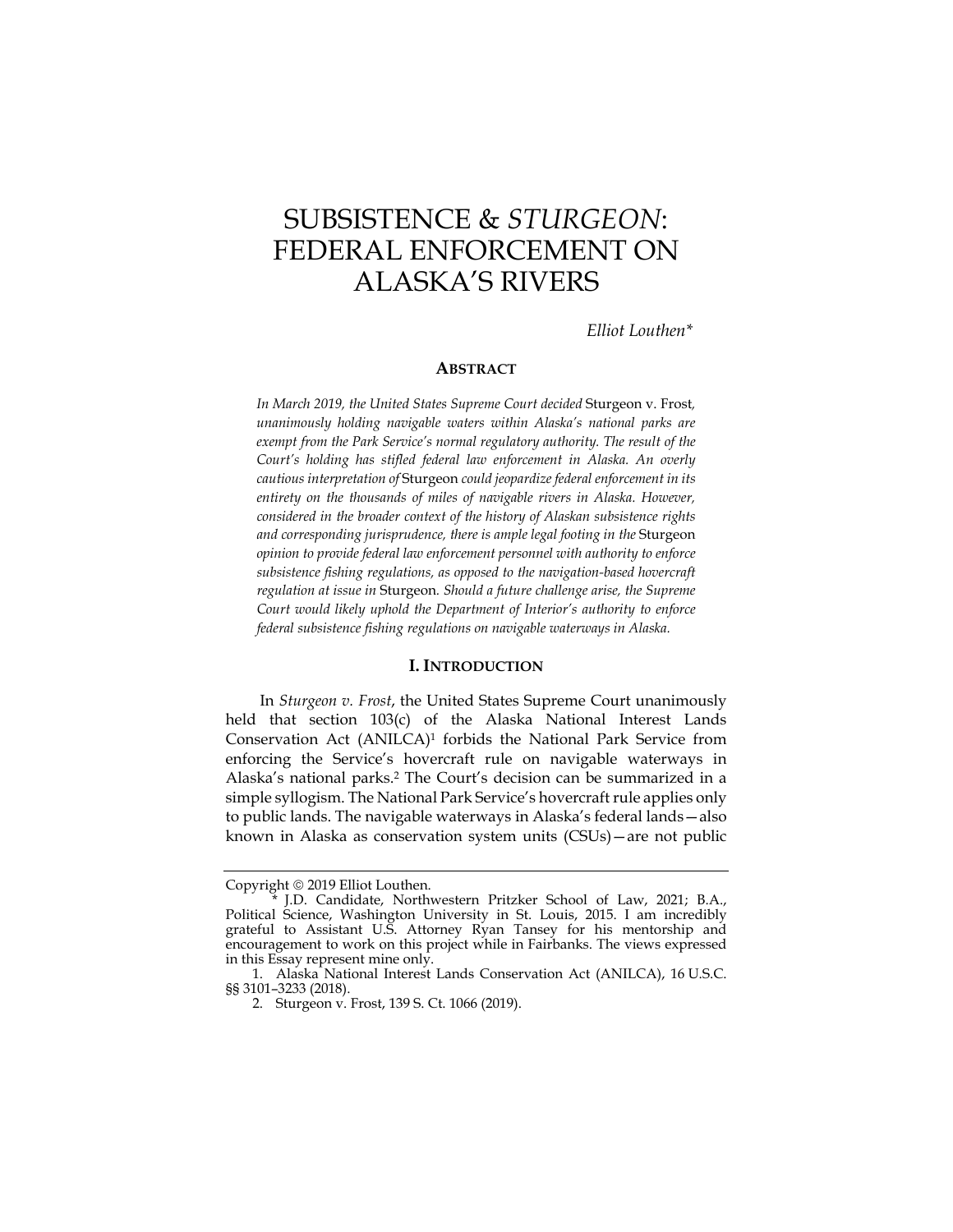# SUBSISTENCE & *STURGEON*: FEDERAL ENFORCEMENT ON ALASKA'S RIVERS

*Elliot Louthen\** 

# **ABSTRACT**

 *entirety on the thousands of miles of navigable rivers in Alaska. However, federal subsistence fishing regulations on navigable waterways in Alaska. In March 2019, the United States Supreme Court decided* Sturgeon v. Frost*, unanimously holding navigable waters within Alaska's national parks are exempt from the Park Service's normal regulatory authority. The result of the Court's holding has stifled federal law enforcement in Alaska. An overly cautious interpretation of* Sturgeon *could jeopardize federal enforcement in its considered in the broader context of the history of Alaskan subsistence rights and corresponding jurisprudence, there is ample legal footing in the* Sturgeon *opinion to provide federal law enforcement personnel with authority to enforce subsistence fishing regulations, as opposed to the navigation-based hovercraft regulation at issue in* Sturgeon*. Should a future challenge arise, the Supreme Court would likely uphold the Department of Interior's authority to enforce* 

#### **I. INTRODUCTION**

 enforcing the Service's hovercraft rule on navigable waterways in In *Sturgeon v. Frost*, the United States Supreme Court unanimously held that section 103(c) of the Alaska National Interest Lands Conservation Act (ANILCA)1 forbids the National Park Service from Alaska's national parks.2 The Court's decision can be summarized in a simple syllogism. The National Park Service's hovercraft rule applies only to public lands. The navigable waterways in Alaska's federal lands—also known in Alaska as conservation system units (CSUs)—are not public

Copyright  $@$  2019 Elliot Louthen.

<sup>\*</sup> J.D. Candidate, Northwestern Pritzker School of Law, 2021; B.A., Political Science, Washington University in St. Louis, 2015. I am incredibly grateful to Assistant U.S. Attorney Ryan Tansey for his mentorship and encouragement to work on this project while in Fairbanks. The views expressed in this Essay represent mine only.

<sup>1.</sup> Alaska National Interest Lands Conservation Act (ANILCA), 16 U.S.C. §§ 3101–3233 (2018).

<sup>2.</sup> Sturgeon v. Frost, 139 S. Ct. 1066 (2019).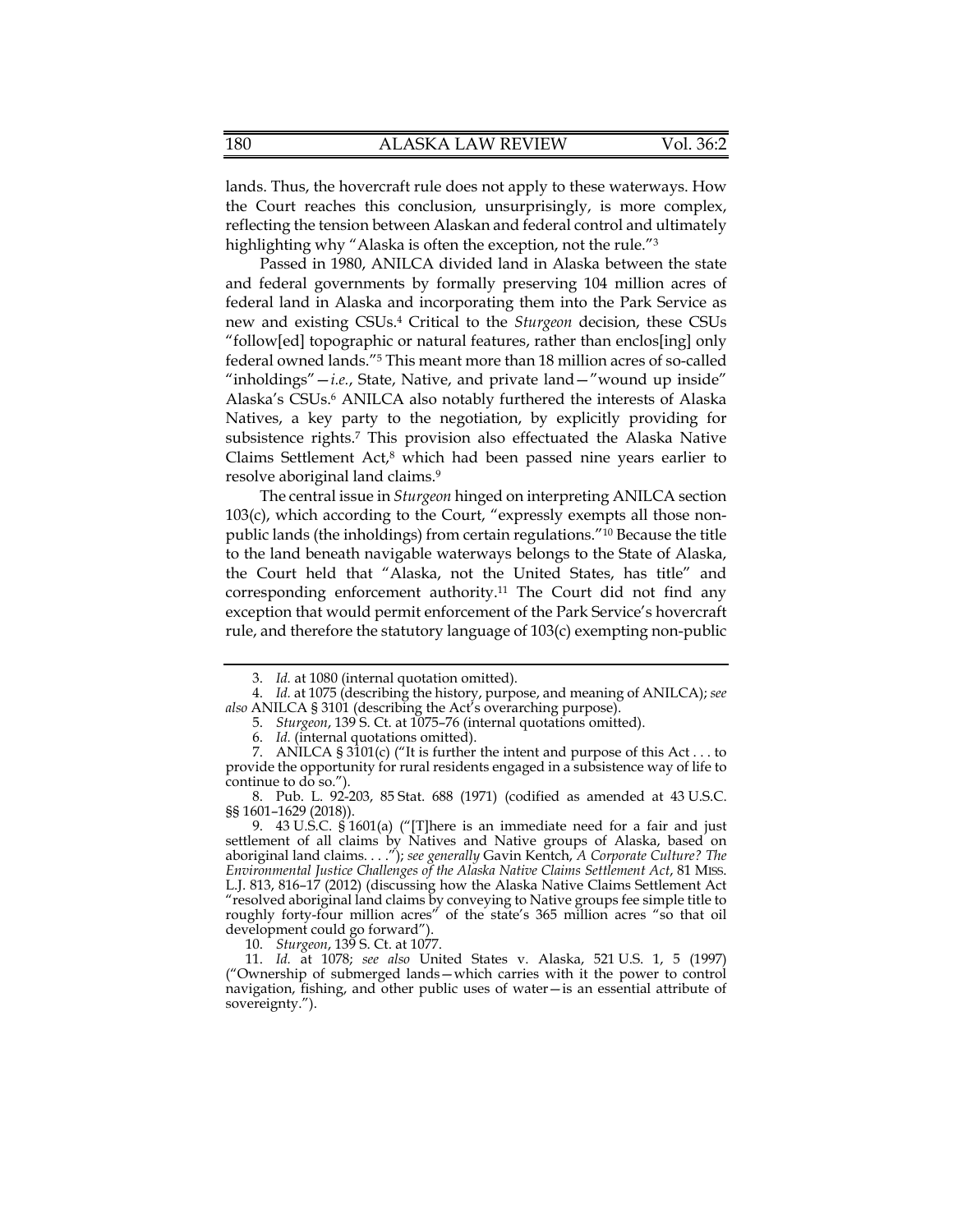lands. Thus, the hovercraft rule does not apply to these waterways. How the Court reaches this conclusion, unsurprisingly, is more complex, reflecting the tension between Alaskan and federal control and ultimately highlighting why "Alaska is often the exception, not the rule."<sup>3</sup>

 Passed in 1980, ANILCA divided land in Alaska between the state federal owned lands."5 This meant more than 18 million acres of so-called and federal governments by formally preserving 104 million acres of federal land in Alaska and incorporating them into the Park Service as new and existing CSUs.4 Critical to the *Sturgeon* decision, these CSUs "follow[ed] topographic or natural features, rather than enclos[ing] only "inholdings"—*i.e.*, State, Native, and private land—"wound up inside" Alaska's CSUs.6 ANILCA also notably furthered the interests of Alaska Natives, a key party to the negotiation, by explicitly providing for subsistence rights.7 This provision also effectuated the Alaska Native Claims Settlement Act,<sup>8</sup> which had been passed nine years earlier to resolve aboriginal land claims.9

The central issue in *Sturgeon* hinged on interpreting ANILCA section 103(c), which according to the Court, "expressly exempts all those nonpublic lands (the inholdings) from certain regulations."10 Because the title to the land beneath navigable waterways belongs to the State of Alaska, the Court held that "Alaska, not the United States, has title" and corresponding enforcement [authority.11](https://authority.11) The Court did not find any exception that would permit enforcement of the Park Service's hovercraft rule, and therefore the statutory language of 103(c) exempting non-public

10. *Sturgeon*, 139 S. Ct. at 1077.

<sup>3.</sup> *Id.* at 1080 (internal quotation omitted).

<sup>4.</sup> *Id.* at 1075 (describing the history, purpose, and meaning of ANILCA); *see also* ANILCA § 3101 (describing the Act's overarching purpose).

<sup>5.</sup> *Sturgeon*, 139 S. Ct. at 1075–76 (internal quotations omitted).

<sup>6.</sup> *Id.* (internal quotations omitted).

 provide the opportunity for rural residents engaged in a subsistence way of life to continue to do so."). 7. ANILCA  $\S 3\overline{1}01(c)$  ("It is further the intent and purpose of this Act . . . to

<sup>8.</sup> Pub. L. 92-203, 85 Stat. 688 (1971) (codified as amended at 43 U.S.C. §§ 1601–1629 (2018)).

<sup>9. 43</sup> U.S.C.  $\frac{2}{3}$ 1601(a) ("[T]here is an immediate need for a fair and just settlement of all claims by Natives and Native groups of Alaska, based on aboriginal land claims. . . ."); *see generally* Gavin Kentch, *A Corporate Culture? The Environmental Justice Challenges of the Alaska Native Claims Settlement Act*, 81 MISS. L.J. 813, 816–17 (2012) (discussing how the Alaska Native Claims Settlement Act "resolved aboriginal land claims by conveying to Native groups fee simple title to roughly forty-four million acres" of the state's 365 million acres "so that oil development could go forward").

<sup>11.</sup> *Id.* at 1078; *see also* United States v. Alaska, 521 U.S. 1, 5 (1997) ("Ownership of submerged lands—which carries with it the power to control navigation, fishing, and other public uses of water—is an essential attribute of sovereignty.").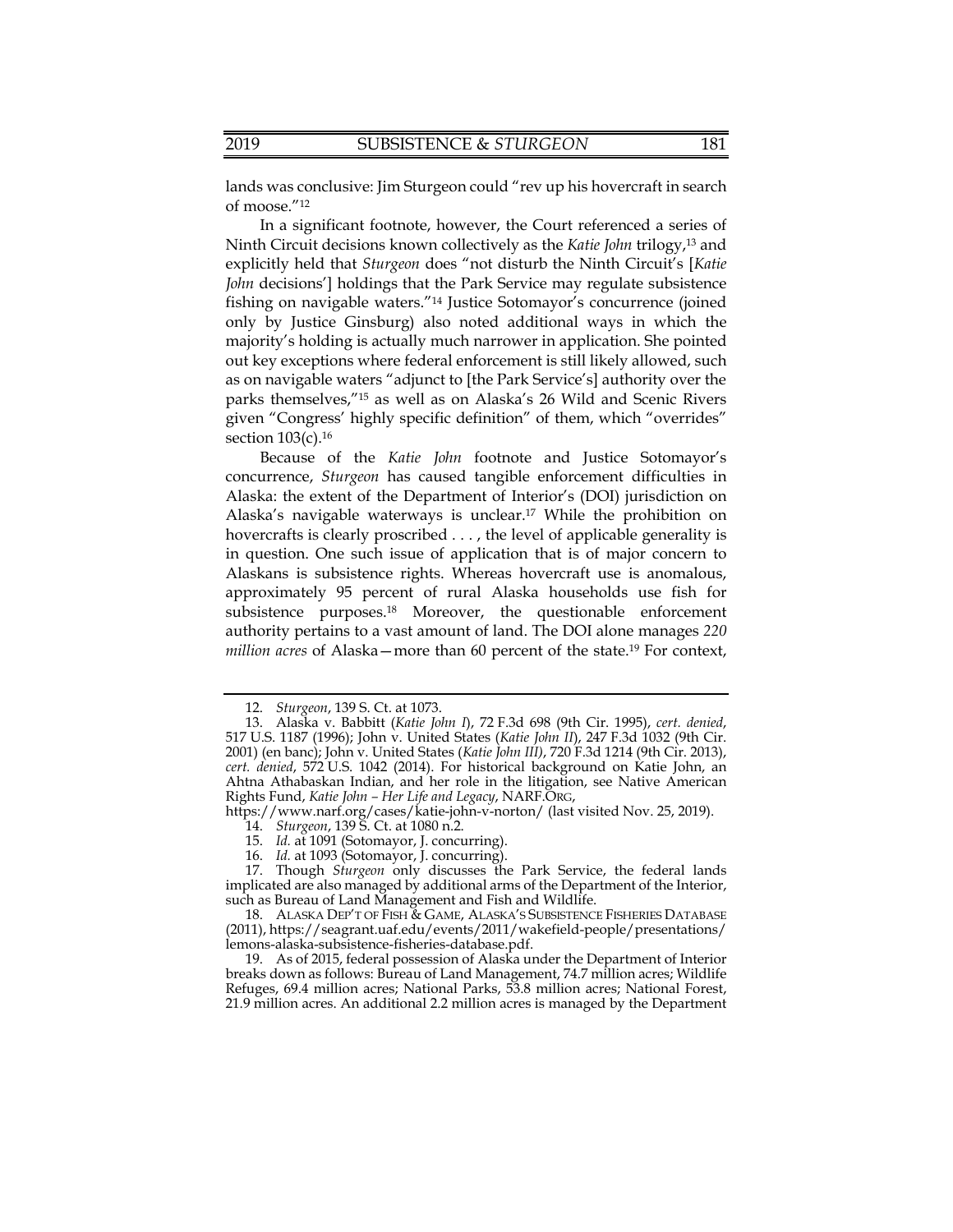lands was conclusive: Jim Sturgeon could "rev up his hovercraft in search of moose."12

 parks themselves,"15 as well as on Alaska's 26 Wild and Scenic Rivers In a significant footnote, however, the Court referenced a series of Ninth Circuit decisions known collectively as the *Katie John* trilogy,13 and explicitly held that *Sturgeon* does "not disturb the Ninth Circuit's [*Katie John* decisions'] holdings that the Park Service may regulate subsistence fishing on navigable waters."14 Justice Sotomayor's concurrence (joined only by Justice Ginsburg) also noted additional ways in which the majority's holding is actually much narrower in application. She pointed out key exceptions where federal enforcement is still likely allowed, such as on navigable waters "adjunct to [the Park Service's] authority over the given "Congress' highly specific definition" of them, which "overrides" section  $103(c)$ .<sup>16</sup>

Because of the *Katie John* footnote and Justice Sotomayor's concurrence, *Sturgeon* has caused tangible enforcement difficulties in Alaska: the extent of the Department of Interior's (DOI) jurisdiction on Alaska's navigable waterways is [unclear.17](https://unclear.17) While the prohibition on hovercrafts is clearly proscribed . . . , the level of applicable generality is in question. One such issue of application that is of major concern to Alaskans is subsistence rights. Whereas hovercraft use is anomalous, approximately 95 percent of rural Alaska households use fish for subsistence purposes.<sup>18</sup> Moreover, the questionable enforcement authority pertains to a vast amount of land. The DOI alone manages *220 million acres* of Alaska—more than 60 percent of the state.<sup>19</sup> For context,

16. *Id.* at 1093 (Sotomayor, J. concurring).

<sup>12.</sup> *Sturgeon*, 139 S. Ct. at 1073.

<sup>13.</sup> Alaska v. Babbitt (*Katie John I*), 72 F.3d 698 (9th Cir. 1995), *cert. denied*, 517 U.S. 1187 (1996); John v. United States (*Katie John II*), 247 F.3d 1032 (9th Cir. 2001) (en banc); John v. United States (*Katie John III)*, 720 F.3d 1214 (9th Cir. 2013), *cert. denied*, 572 U.S. 1042 (2014). For historical background on Katie John, an Ahtna Athabaskan Indian, and her role in the litigation, see Native American Rights Fund, *Katie John – Her Life and Legacy*, [NARF.ORG,](https://NARF.ORG)

<https://www.narf.org/cases/katie-john-v-norton>/ (last visited Nov. 25, 2019).

<sup>14.</sup> *Sturgeon*, 139 S. Ct. at 1080 n.2.

 <sup>15.</sup> *Id.* at 1091 (Sotomayor, J. concurring).

<sup>17.</sup> Though *Sturgeon* only discusses the Park Service, the federal lands implicated are also managed by additional arms of the Department of the Interior, such as Bureau of Land Management and Fish and Wildlife.

 lemons-alaska-subsistence-fisheries-database.pdf. 18. ALASKA DEP'T OF FISH & GAME, ALASKA'S SUBSISTENCE FISHERIES DATABASE (2011), [https://seagrant.uaf.edu/events/2011/wakefield-people/presentations/](https://seagrant.uaf.edu/events/2011/wakefield-people/presentations)

 breaks down as follows: Bureau of Land Management, 74.7 million acres; Wildlife 19. As of 2015, federal possession of Alaska under the Department of Interior Refuges, 69.4 million acres; National Parks, 53.8 million acres; National Forest, 21.9 million acres. An additional 2.2 million acres is managed by the Department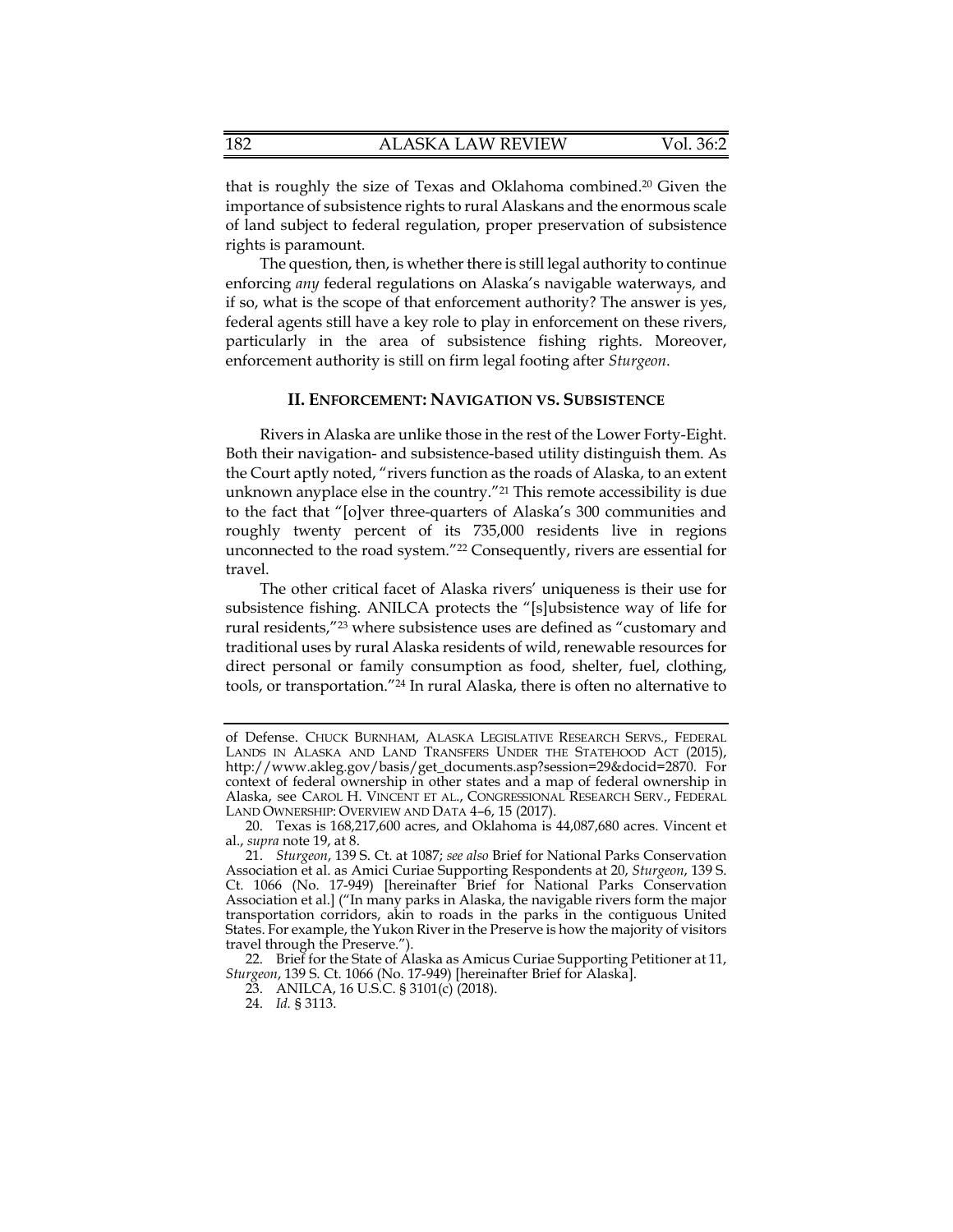that is roughly the size of Texas and Oklahoma [combined.20](https://combined.20) Given the importance of subsistence rights to rural Alaskans and the enormous scale of land subject to federal regulation, proper preservation of subsistence rights is paramount.

The question, then, is whether there is still legal authority to continue enforcing *any* federal regulations on Alaska's navigable waterways, and if so, what is the scope of that enforcement authority? The answer is yes, federal agents still have a key role to play in enforcement on these rivers, particularly in the area of subsistence fishing rights. Moreover, enforcement authority is still on firm legal footing after *Sturgeon*.

#### **II. ENFORCEMENT: NAVIGATION VS. SUBSISTENCE**

 the Court aptly noted, "rivers function as the roads of Alaska, to an extent Rivers in Alaska are unlike those in the rest of the Lower Forty-Eight. Both their navigation- and subsistence-based utility distinguish them. As unknown anyplace else in the country."21 This remote accessibility is due to the fact that "[o]ver three-quarters of Alaska's 300 communities and roughly twenty percent of its 735,000 residents live in regions unconnected to the road system."22 Consequently, rivers are essential for travel.

 The other critical facet of Alaska rivers' uniqueness is their use for subsistence fishing. ANILCA protects the "[s]ubsistence way of life for rural residents,"23 where subsistence uses are defined as "customary and traditional uses by rural Alaska residents of wild, renewable resources for direct personal or family consumption as food, shelter, fuel, clothing, tools, or transportation."24 In rural Alaska, there is often no alternative to

of Defense. CHUCK BURNHAM, ALASKA LEGISLATIVE RESEARCH SERVS., FEDERAL LANDS IN ALASKA AND LAND TRANSFERS UNDER THE STATEHOOD ACT (2015), [http://www.akleg.gov/basis/get\\_documents.asp?session=29&docid=2870.](http://www.akleg.gov/basis/get_documents.asp?session=29&docid=2870) For context of federal ownership in other states and a map of federal ownership in Alaska, see CAROL H. VINCENT ET AL., CONGRESSIONAL RESEARCH SERV., FEDERAL LAND OWNERSHIP: OVERVIEW AND DATA 4–6, 15 (2017).

<sup>20.</sup> Texas is 168,217,600 acres, and Oklahoma is 44,087,680 acres. Vincent et al., *supra* note 19, at 8.

 21. *Sturgeon*, 139 S. Ct. at 1087; *see also* Brief for National Parks Conservation Association et al. as Amici Curiae Supporting Respondents at 20, *Sturgeon*, 139 S. Ct. 1066 (No. 17-949) [hereinafter Brief for National Parks Conservation Association et al.] ("In many parks in Alaska, the navigable rivers form the major transportation corridors, akin to roads in the parks in the contiguous United States. For example, the Yukon River in the Preserve is how the majority of visitors travel through the Preserve.").

<sup>22.</sup> Brief for the State of Alaska as Amicus Curiae Supporting Petitioner at 11, *Sturgeon*, 139 S. Ct. 1066 (No. 17-949) [hereinafter Brief for Alaska].

<sup>23.</sup> ANILCA, 16 U.S.C. § 3101(c) (2018).

<sup>24.</sup> *Id.* § 3113.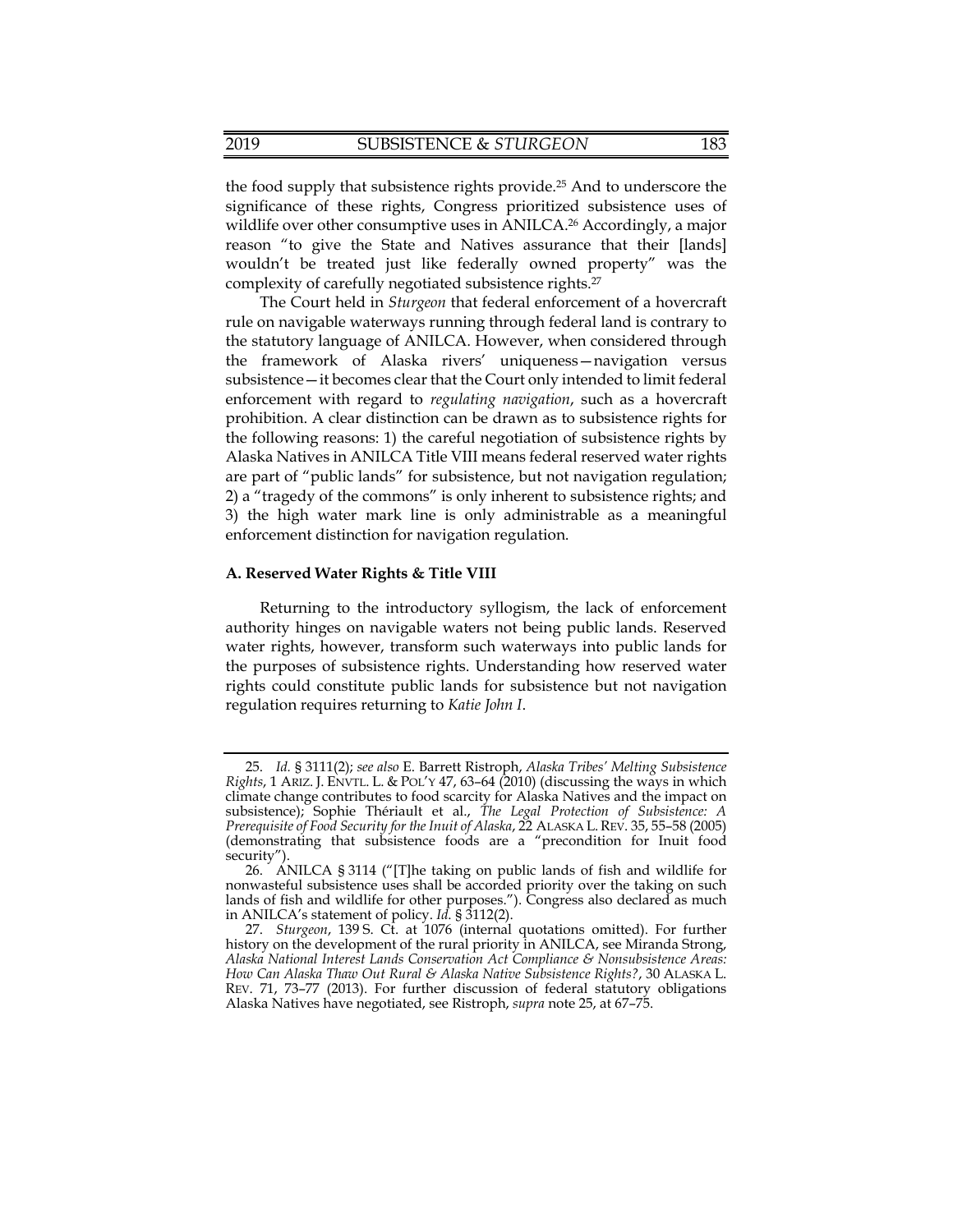the food supply that subsistence rights [provide.25](https://provide.25) And to underscore the significance of these rights, Congress prioritized subsistence uses of wildlife over other consumptive uses in ANILCA.<sup>26</sup> Accordingly, a major reason "to give the State and Natives assurance that their [lands] wouldn't be treated just like federally owned property" was the complexity of carefully negotiated subsistence [rights.27](https://rights.27) 

 The Court held in *Sturgeon* that federal enforcement of a hovercraft 2) a "tragedy of the commons" is only inherent to subsistence rights; and rule on navigable waterways running through federal land is contrary to the statutory language of ANILCA. However, when considered through the framework of Alaska rivers' uniqueness—navigation versus subsistence—it becomes clear that the Court only intended to limit federal enforcement with regard to *regulating navigation*, such as a hovercraft prohibition. A clear distinction can be drawn as to subsistence rights for the following reasons: 1) the careful negotiation of subsistence rights by Alaska Natives in ANILCA Title VIII means federal reserved water rights are part of "public lands" for subsistence, but not navigation regulation; 3) the high water mark line is only administrable as a meaningful enforcement distinction for navigation regulation.

### **A. Reserved Water Rights & Title VIII**

Returning to the introductory syllogism, the lack of enforcement authority hinges on navigable waters not being public lands. Reserved water rights, however, transform such waterways into public lands for the purposes of subsistence rights. Understanding how reserved water rights could constitute public lands for subsistence but not navigation regulation requires returning to *Katie John I*.

 *Rights*, 1 ARIZ. J. ENVTL. L. & POL'Y 47, 63–64 (2010) (discussing the ways in which 25. *Id.* § 3111(2); *see also* E. Barrett Ristroph, *Alaska Tribes' Melting Subsistence*  climate change contributes to food scarcity for Alaska Natives and the impact on subsistence); Sophie Thériault et al., *The Legal Protection of Subsistence: A Prerequisite of Food Security for the Inuit of Alaska*, 22 ALASKA L. REV. 35, 55–58 (2005) (demonstrating that subsistence foods are a "precondition for Inuit food security").

<sup>26.</sup> ANILCA § 3114 ("[T]he taking on public lands of fish and wildlife for nonwasteful subsistence uses shall be accorded priority over the taking on such lands of fish and wildlife for other purposes."). Congress also declared as much in ANILCA's statement of policy. *Id*. § 3112(2).

<sup>27.</sup> *Sturgeon*, 139 S. Ct. at 1076 (internal quotations omitted). For further history on the development of the rural priority in ANILCA, see Miranda Strong, *Alaska National Interest Lands Conservation Act Compliance & Nonsubsistence Areas: How Can Alaska Thaw Out Rural & Alaska Native Subsistence Rights?*, 30 ALASKA L. REV. 71, 73–77 (2013). For further discussion of federal statutory obligations Alaska Natives have negotiated, see Ristroph, *supra* note 25, at 67–75.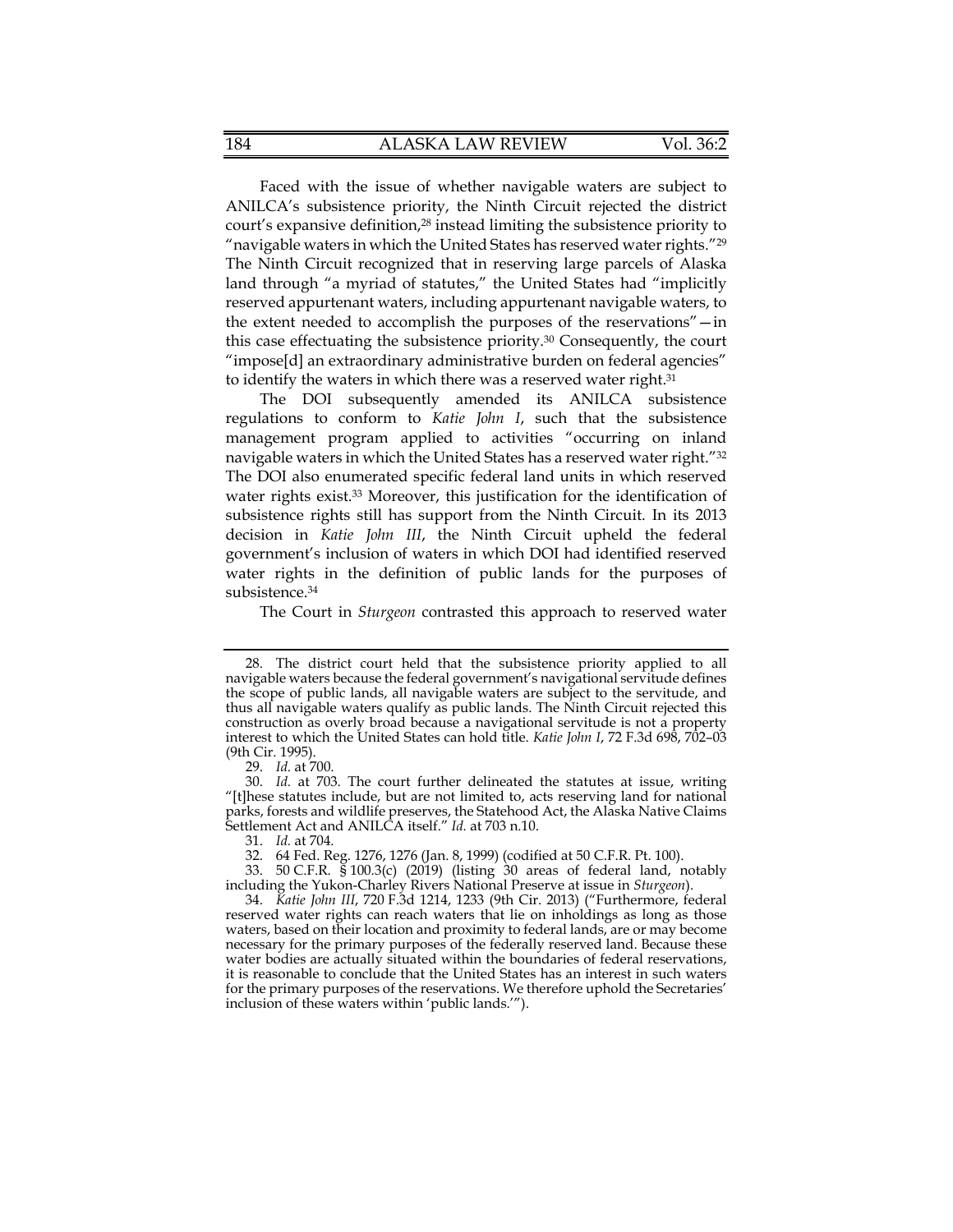The Ninth Circuit recognized that in reserving large parcels of Alaska land through "a myriad of statutes," the United States had "implicitly Faced with the issue of whether navigable waters are subject to ANILCA's subsistence priority, the Ninth Circuit rejected the district court's expansive definition,<sup>28</sup> instead limiting the subsistence priority to " navigable waters in which the United States has reserved water rights."<sup>29</sup> reserved appurtenant waters, including appurtenant navigable waters, to the extent needed to accomplish the purposes of the reservations"—in this case effectuating the subsistence [priority.30](https://priority.30) Consequently, the court "impose[d] an extraordinary administrative burden on federal agencies" to identify the waters in which there was a reserved water right.<sup>31</sup>

The DOI subsequently amended its ANILCA subsistence regulations to conform to *Katie John I*, such that the subsistence management program applied to activities "occurring on inland navigable waters in which the United States has a reserved water right."32 The DOI also enumerated specific federal land units in which reserved water rights exist.<sup>33</sup> Moreover, this justification for the identification of subsistence rights still has support from the Ninth Circuit. In its 2013 decision in *Katie John III*, the Ninth Circuit upheld the federal government's inclusion of waters in which DOI had identified reserved water rights in the definition of public lands for the purposes of [subsistence.34](https://subsistence.34)

The Court in *Sturgeon* contrasted this approach to reserved water

29. *Id.* at 700.

<sup>28.</sup> The district court held that the subsistence priority applied to all navigable waters because the federal government's navigational servitude defines the scope of public lands, all navigable waters are subject to the servitude, and thus all navigable waters qualify as public lands. The Ninth Circuit rejected this construction as overly broad because a navigational servitude is not a property interest to which the United States can hold title. *Katie John I*, 72 F.3d 698, 702–03 (9th Cir. 1995).

<sup>30.</sup> *Id.* at 703. The court further delineated the statutes at issue, writing "[t]hese statutes include, but are not limited to, acts reserving land for national parks, forests and wildlife preserves, the Statehood Act, the Alaska Native Claims Settlement Act and ANILCA itself." *Id.* at 703 n.10.

<sup>31.</sup> *Id.* at 704.

 32. 64 Fed. Reg. 1276, 1276 (Jan. 8, 1999) (codified at 50 C.F.R. Pt. 100).

<sup>33. 50</sup> C.F.R. § 100.3(c) (2019) (listing 30 areas of federal land, notably including the Yukon-Charley Rivers National Preserve at issue in *Sturgeon*).

<sup>34.</sup> *Katie John III*, 720 F.3d 1214, 1233 (9th Cir. 2013) ("Furthermore, federal reserved water rights can reach waters that lie on inholdings as long as those waters, based on their location and proximity to federal lands, are or may become necessary for the primary purposes of the federally reserved land. Because these water bodies are actually situated within the boundaries of federal reservations, it is reasonable to conclude that the United States has an interest in such waters for the primary purposes of the reservations. We therefore uphold the Secretaries' inclusion of these waters within 'public lands.'").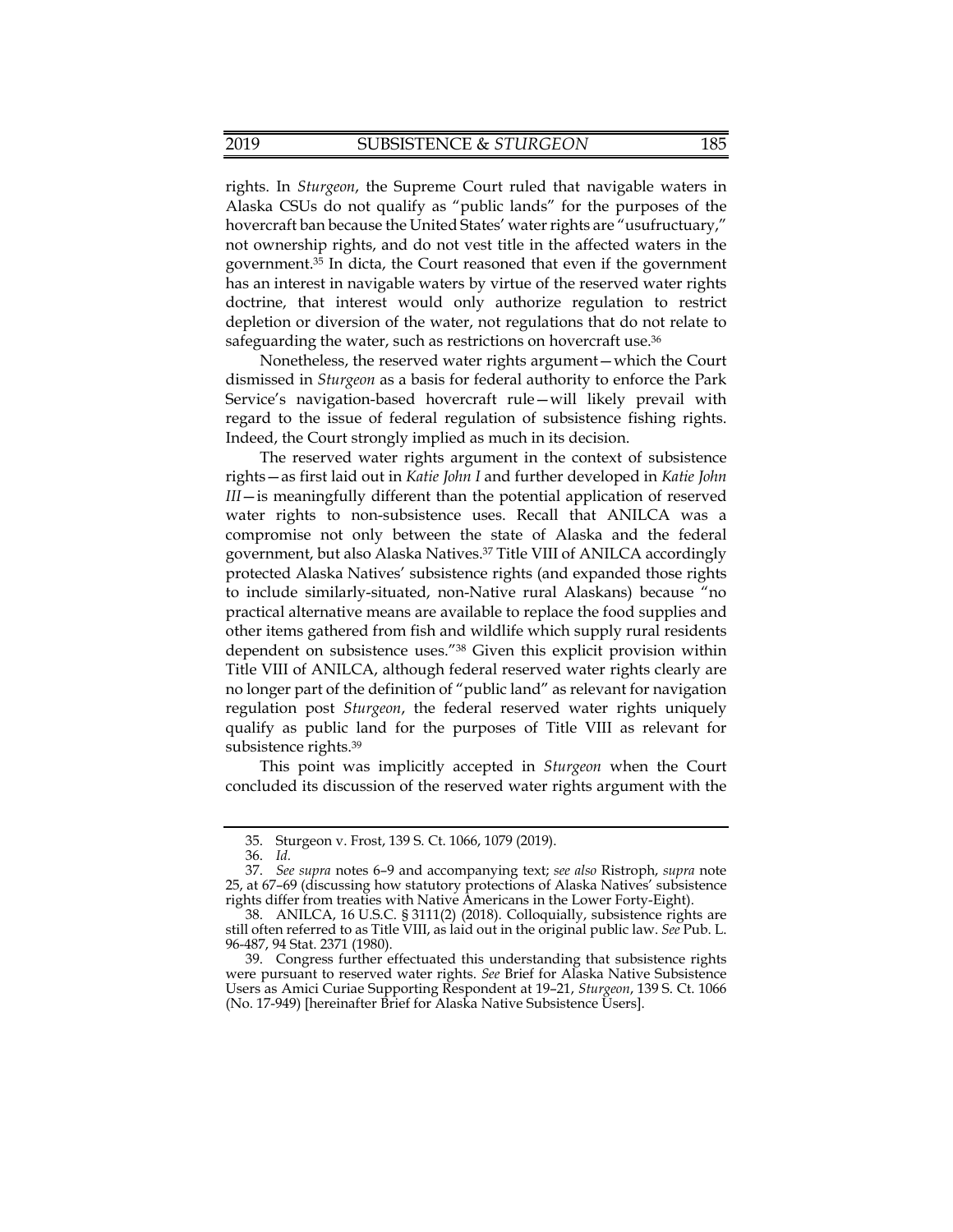rights. In *Sturgeon*, the Supreme Court ruled that navigable waters in Alaska CSUs do not qualify as "public lands" for the purposes of the hovercraft ban because the United States' water rights are "usufructuary," not ownership rights, and do not vest title in the affected waters in the [government.35](https://government.35) In dicta, the Court reasoned that even if the government has an interest in navigable waters by virtue of the reserved water rights doctrine, that interest would only authorize regulation to restrict depletion or diversion of the water, not regulations that do not relate to safeguarding the water, such as restrictions on hovercraft use.<sup>36</sup>

 dismissed in *Sturgeon* as a basis for federal authority to enforce the Park Nonetheless, the reserved water rights argument—which the Court Service's navigation-based hovercraft rule—will likely prevail with regard to the issue of federal regulation of subsistence fishing rights. Indeed, the Court strongly implied as much in its decision.

 rights—as first laid out in *Katie John I* and further developed in *Katie John III*—is meaningfully different than the potential application of reserved The reserved water rights argument in the context of subsistence water rights to non-subsistence uses. Recall that ANILCA was a compromise not only between the state of Alaska and the federal government, but also Alaska [Natives.37](https://Natives.37) Title VIII of ANILCA accordingly protected Alaska Natives' subsistence rights (and expanded those rights to include similarly-situated, non-Native rural Alaskans) because "no practical alternative means are available to replace the food supplies and other items gathered from fish and wildlife which supply rural residents dependent on subsistence uses."38 Given this explicit provision within Title VIII of ANILCA, although federal reserved water rights clearly are no longer part of the definition of "public land" as relevant for navigation regulation post *Sturgeon*, the federal reserved water rights uniquely qualify as public land for the purposes of Title VIII as relevant for subsistence [rights.39](https://rights.39)

This point was implicitly accepted in *Sturgeon* when the Court concluded its discussion of the reserved water rights argument with the

<sup>35.</sup> Sturgeon v. Frost, 139 S. Ct. 1066, 1079 (2019).

<sup>36.</sup> *Id.*

 <sup>37.</sup> *See supra* notes 6–9 and accompanying text; *see also* Ristroph, *supra* note 25, at 67–69 (discussing how statutory protections of Alaska Natives' subsistence rights differ from treaties with Native Americans in the Lower Forty-Eight).

<sup>38.</sup> ANILCA, 16 U.S.C. § 3111(2) (2018). Colloquially, subsistence rights are still often referred to as Title VIII, as laid out in the original public law. *See* Pub. L. 96-487, 94 Stat. 2371 (1980).

<sup>39.</sup> Congress further effectuated this understanding that subsistence rights were pursuant to reserved water rights. *See* Brief for Alaska Native Subsistence Users as Amici Curiae Supporting Respondent at 19–21, *Sturgeon*, 139 S. Ct. 1066 (No. 17-949) [hereinafter Brief for Alaska Native Subsistence Users].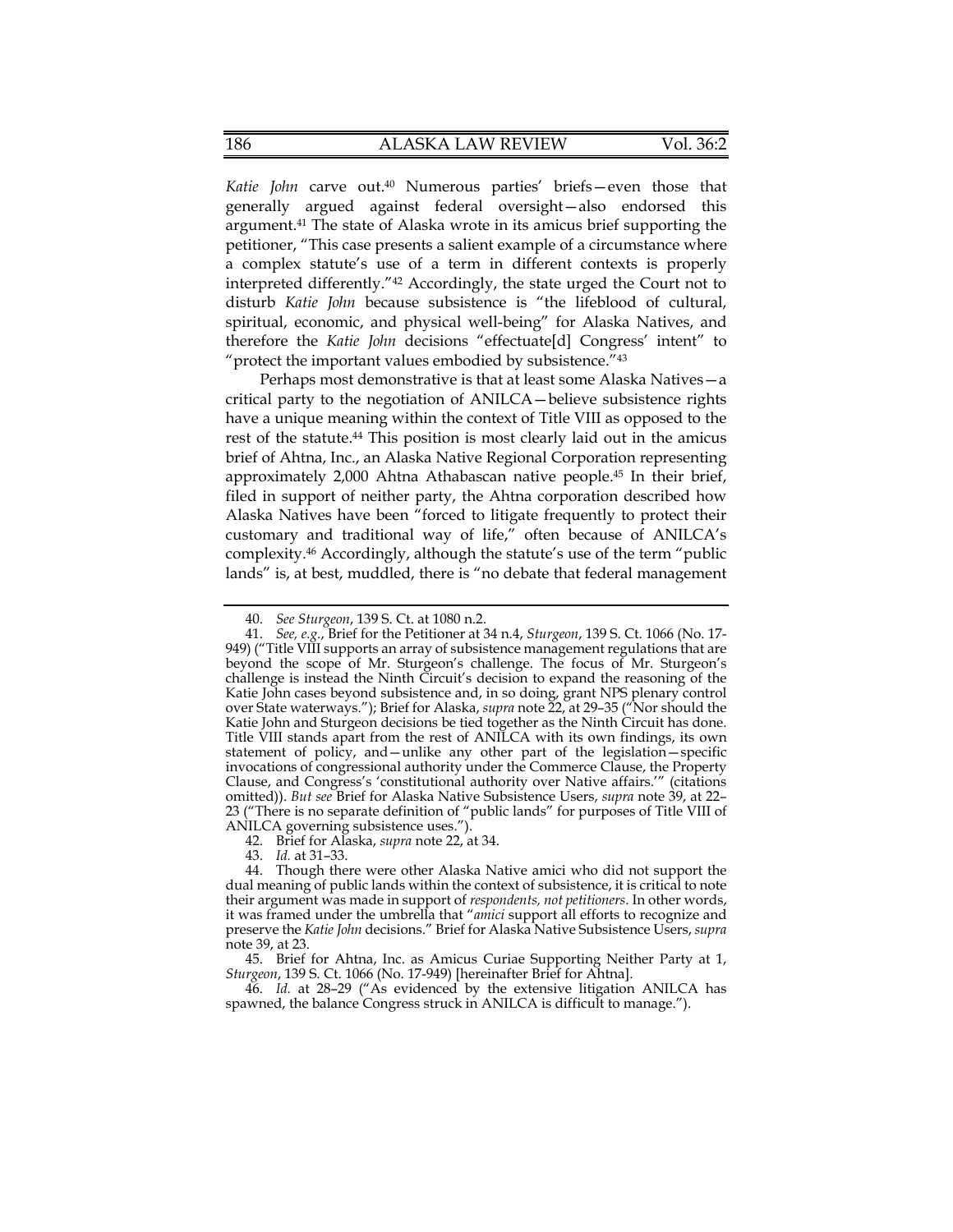petitioner, "This case presents a salient example of a circumstance where therefore the *Katie John* decisions "effectuate[d] Congress' intent" to *Katie John* carve out.40 Numerous parties' briefs—even those that generally argued against federal oversight—also endorsed this [argument.41](https://argument.41) The state of Alaska wrote in its amicus brief supporting the a complex statute's use of a term in different contexts is properly interpreted differently."42 Accordingly, the state urged the Court not to disturb *Katie John* because subsistence is "the lifeblood of cultural, spiritual, economic, and physical well-being" for Alaska Natives, and "protect the important values embodied by subsistence."43

 Perhaps most demonstrative is that at least some Alaska Natives—a approximately 2,000 Ahtna Athabascan native [people.45](https://people.45) In their brief, critical party to the negotiation of ANILCA—believe subsistence rights have a unique meaning within the context of Title VIII as opposed to the rest of the [statute.44](https://statute.44) This position is most clearly laid out in the amicus brief of Ahtna, Inc., an Alaska Native Regional Corporation representing filed in support of neither party, the Ahtna corporation described how Alaska Natives have been "forced to litigate frequently to protect their customary and traditional way of life," often because of ANILCA's [complexity.46](https://complexity.46) Accordingly, although the statute's use of the term "public lands" is, at best, muddled, there is "no debate that federal management

43. *Id.* at 31–33.

44. Though there were other Alaska Native amici who did not support the dual meaning of public lands within the context of subsistence, it is critical to note their argument was made in support of *respondents, not petitioners*. In other words, it was framed under the umbrella that "*amici* support all efforts to recognize and preserve the *Katie John* decisions." Brief for Alaska Native Subsistence Users, *supra* note 39, at 23.

<sup>40.</sup> *See Sturgeon*, 139 S. Ct. at 1080 n.2.

 Title VIII stands apart from the rest of ANILCA with its own findings, its own 41. *See, e.g.*, Brief for the Petitioner at 34 n.4, *Sturgeon*, 139 S. Ct. 1066 (No. 17- 949) ("Title VIII supports an array of subsistence management regulations that are beyond the scope of Mr. Sturgeon's challenge. The focus of Mr. Sturgeon's challenge is instead the Ninth Circuit's decision to expand the reasoning of the Katie John cases beyond subsistence and, in so doing, grant NPS plenary control over State waterways."); Brief for Alaska, *supra* note 22, at 29–35 ("Nor should the Katie John and Sturgeon decisions be tied together as the Ninth Circuit has done. statement of policy, and—unlike any other part of the legislation—specific invocations of congressional authority under the Commerce Clause, the Property Clause, and Congress's 'constitutional authority over Native affairs.'" (citations omitted)). *But see* Brief for Alaska Native Subsistence Users, *supra* note 39, at 22– 23 ("There is no separate definition of "public lands" for purposes of Title VIII of ANILCA governing subsistence uses.").

<sup>42.</sup> Brief for Alaska, *supra* note 22, at 34.

<sup>45.</sup> Brief for Ahtna, Inc. as Amicus Curiae Supporting Neither Party at 1, *Sturgeon*, 139 S. Ct. 1066 (No. 17-949) [hereinafter Brief for Ahtna].

<sup>46.</sup> *Id.* at 28–29 ("As evidenced by the extensive litigation ANILCA has spawned, the balance Congress struck in ANILCA is difficult to manage.").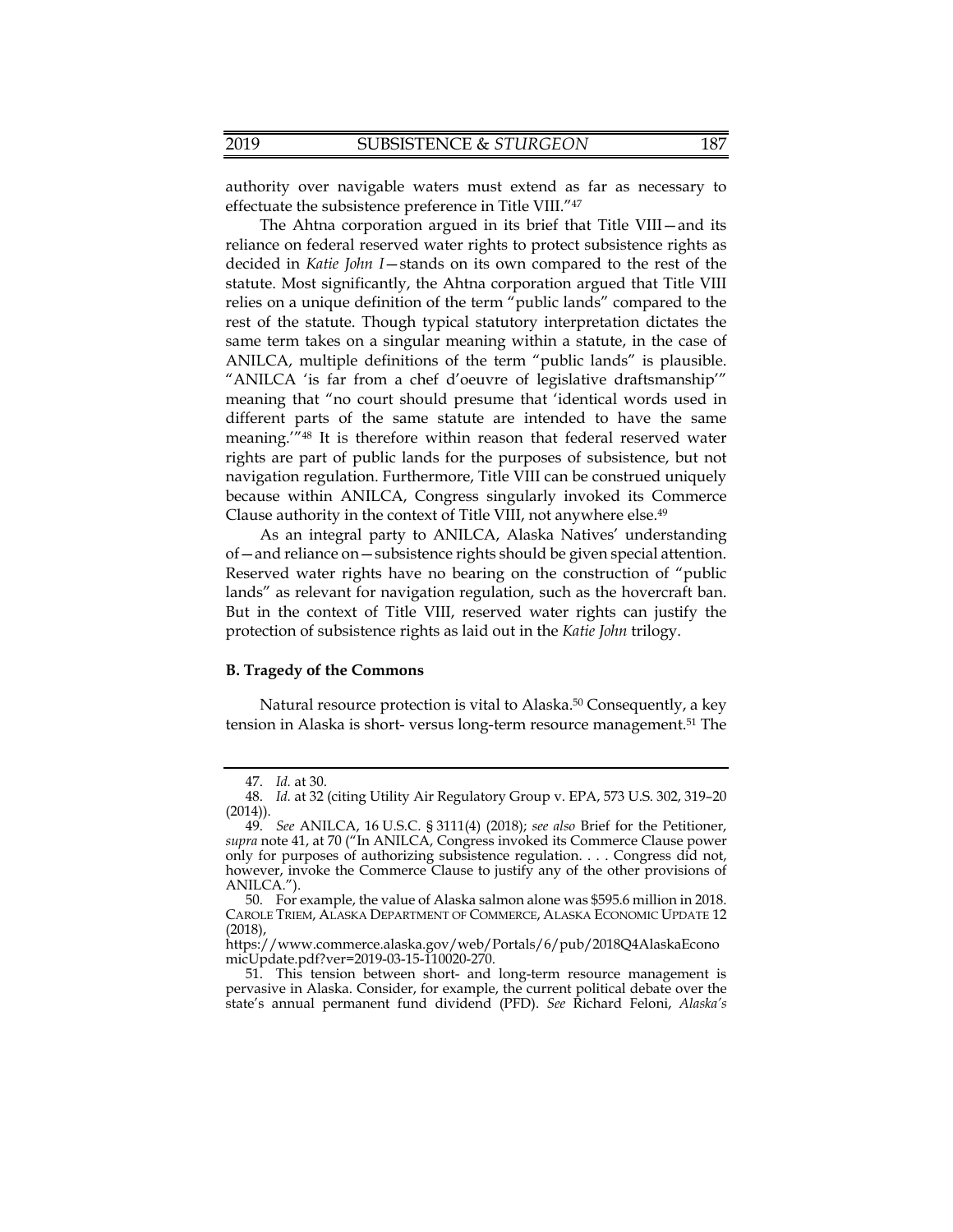authority over navigable waters must extend as far as necessary to effectuate the subsistence preference in Title VIII."47

 relies on a unique definition of the term "public lands" compared to the ANILCA, multiple definitions of the term "public lands" is plausible. The Ahtna corporation argued in its brief that Title VIII—and its reliance on federal reserved water rights to protect subsistence rights as decided in *Katie John I*—stands on its own compared to the rest of the statute. Most significantly, the Ahtna corporation argued that Title VIII rest of the statute. Though typical statutory interpretation dictates the same term takes on a singular meaning within a statute, in the case of "ANILCA 'is far from a chef d'oeuvre of legislative draftsmanship'" meaning that "no court should presume that 'identical words used in different parts of the same statute are intended to have the same meaning.'"48 It is therefore within reason that federal reserved water rights are part of public lands for the purposes of subsistence, but not navigation regulation. Furthermore, Title VIII can be construed uniquely because within ANILCA, Congress singularly invoked its Commerce Clause authority in the context of Title VIII, not anywhere else.49

As an integral party to ANILCA, Alaska Natives' understanding of—and reliance on—subsistence rights should be given special attention. Reserved water rights have no bearing on the construction of "public lands" as relevant for navigation regulation, such as the hovercraft ban. But in the context of Title VIII, reserved water rights can justify the protection of subsistence rights as laid out in the *Katie John* trilogy.

# **B. Tragedy of the Commons**

Natural resource protection is vital to Alaska.<sup>50</sup> Consequently, a key tension in Alaska is short- versus long-term resource [management.51](https://management.51) The

<sup>47.</sup> *Id.* at 30.

<sup>48.</sup> *Id.* at 32 (citing Utility Air Regulatory Group v. EPA, 573 U.S. 302, 319–20 (2014)).

 ANILCA."). 49. *See* ANILCA, 16 U.S.C. § 3111(4) (2018); *see also* Brief for the Petitioner, *supra* note 41, at 70 ("In ANILCA, Congress invoked its Commerce Clause power only for purposes of authorizing subsistence regulation. . . . Congress did not, however, invoke the Commerce Clause to justify any of the other provisions of

<sup>50.</sup> For example, the value of Alaska salmon alone was \$595.6 million in 2018. CAROLE TRIEM, ALASKA DEPARTMENT OF COMMERCE, ALASKA ECONOMIC UPDATE 12 (2018),

<https://www.commerce.alaska.gov/web/Portals/6/pub/2018Q4AlaskaEcono> micUpdate.pdf?ver=2019-03-15-110020-270.

<sup>51.</sup> This tension between short- and long-term resource management is pervasive in Alaska. Consider, for example, the current political debate over the state's annual permanent fund dividend (PFD). *See* Richard Feloni, *Alaska's*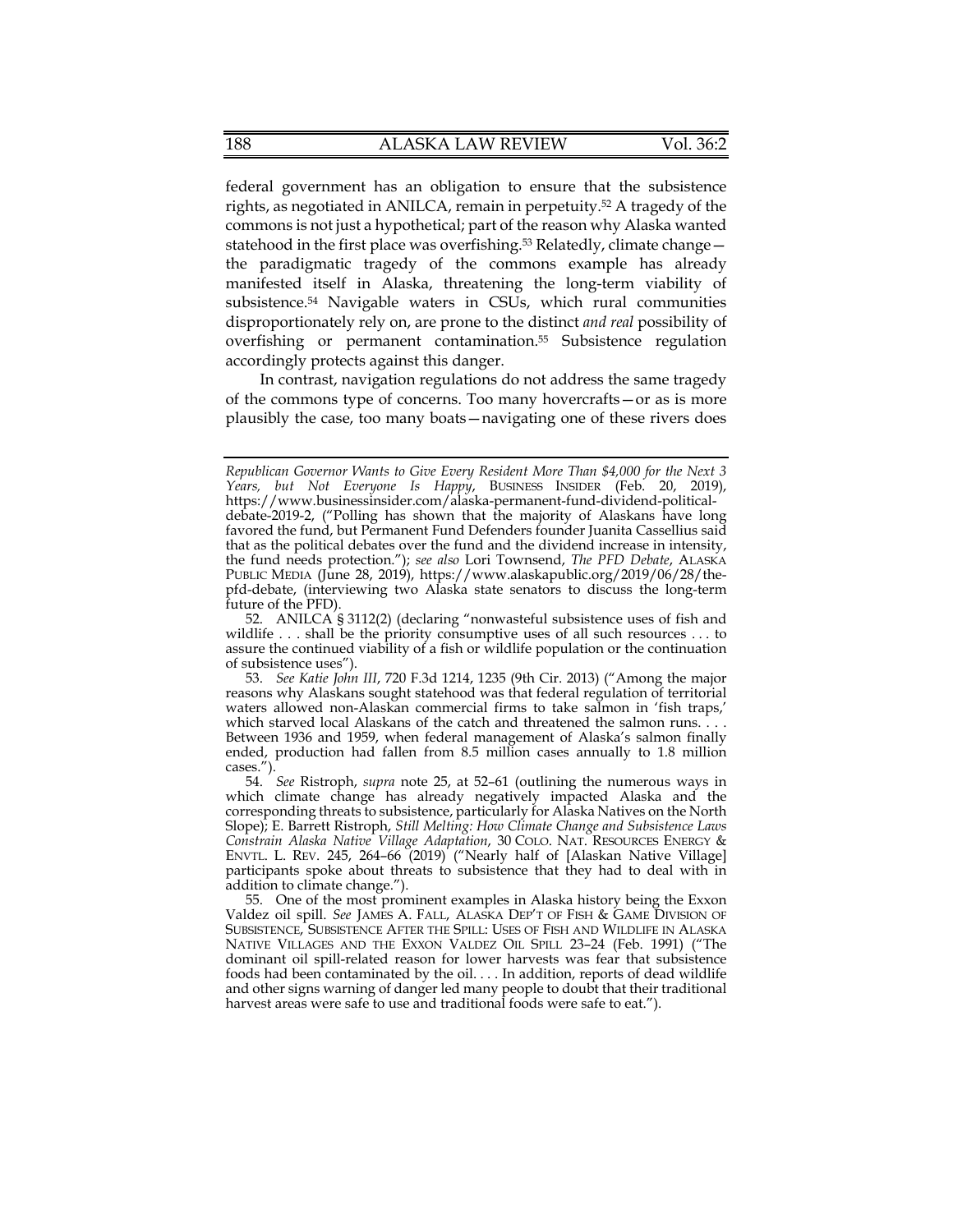disproportionately rely on, are prone to the distinct *and real* possibility of federal government has an obligation to ensure that the subsistence rights, as negotiated in ANILCA, remain in perpetuity.<sup>52</sup> A tragedy of the commons is not just a hypothetical; part of the reason why Alaska wanted statehood in the first place was overfishing.<sup>53</sup> Relatedly, climate change the paradigmatic tragedy of the commons example has already manifested itself in Alaska, threatening the long-term viability of [subsistence.54](https://subsistence.54) Navigable waters in CSUs, which rural communities overfishing or permanent [contamination.55](https://contamination.55) Subsistence regulation accordingly protects against this danger.

In contrast, navigation regulations do not address the same tragedy of the commons type of concerns. Too many hovercrafts—or as is more plausibly the case, too many boats—navigating one of these rivers does

*Republican Governor Wants to Give Every Resident More Than \$4,000 for the Next 3 Years, but Not Everyone Is Happy*, BUSINESS INSIDER (Feb. 20, 2019), <https://www.businessinsider.com/alaska-permanent-fund-dividend-political>debate-2019-2, ("Polling has shown that the majority of Alaskans have long favored the fund, but Permanent Fund Defenders founder Juanita Cassellius said that as the political debates over the fund and the dividend increase in intensity, the fund needs protection."); *see also* Lori Townsend, *The PFD Debate*, ALASKA PUBLIC MEDIA (June 28, 2019), <https://www.alaskapublic.org/2019/06/28/the>pfd-debate, (interviewing two Alaska state senators to discuss the long-term future of the PFD).

 wildlife . . . shall be the priority consumptive uses of all such resources . . . to 52. ANILCA § 3112(2) (declaring "nonwasteful subsistence uses of fish and assure the continued viability of a fish or wildlife population or the continuation of subsistence uses").

 cases."). 53. *See Katie John III*, 720 F.3d 1214, 1235 (9th Cir. 2013) ("Among the major reasons why Alaskans sought statehood was that federal regulation of territorial waters allowed non-Alaskan commercial firms to take salmon in 'fish traps,' which starved local Alaskans of the catch and threatened the salmon runs... Between 1936 and 1959, when federal management of Alaska's salmon finally ended, production had fallen from 8.5 million cases annually to 1.8 million

 *Constrain Alaska Native Village Adaptation*, 30 COLO. NAT. RESOURCES ENERGY & ENVTL. L. REV. 245, 264–66 (2019) ("Nearly half of [Alaskan Native Village] 54. *See* Ristroph, *supra* note 25, at 52–61 (outlining the numerous ways in which climate change has already negatively impacted Alaska and the corresponding threats to subsistence, particularly for Alaska Natives on the North Slope); E. Barrett Ristroph, *Still Melting: How Climate Change and Subsistence Laws*  participants spoke about threats to subsistence that they had to deal with in addition to climate change.").

 foods had been contaminated by the oil. . . . In addition, reports of dead wildlife 55. One of the most prominent examples in Alaska history being the Exxon Valdez oil spill. *See* JAMES A. FALL, ALASKA DEP'T OF FISH & GAME DIVISION OF SUBSISTENCE, SUBSISTENCE AFTER THE SPILL: USES OF FISH AND WILDLIFE IN ALASKA NATIVE VILLAGES AND THE EXXON VALDEZ OIL SPILL 23–24 (Feb. 1991) ("The dominant oil spill-related reason for lower harvests was fear that subsistence and other signs warning of danger led many people to doubt that their traditional harvest areas were safe to use and traditional foods were safe to eat.").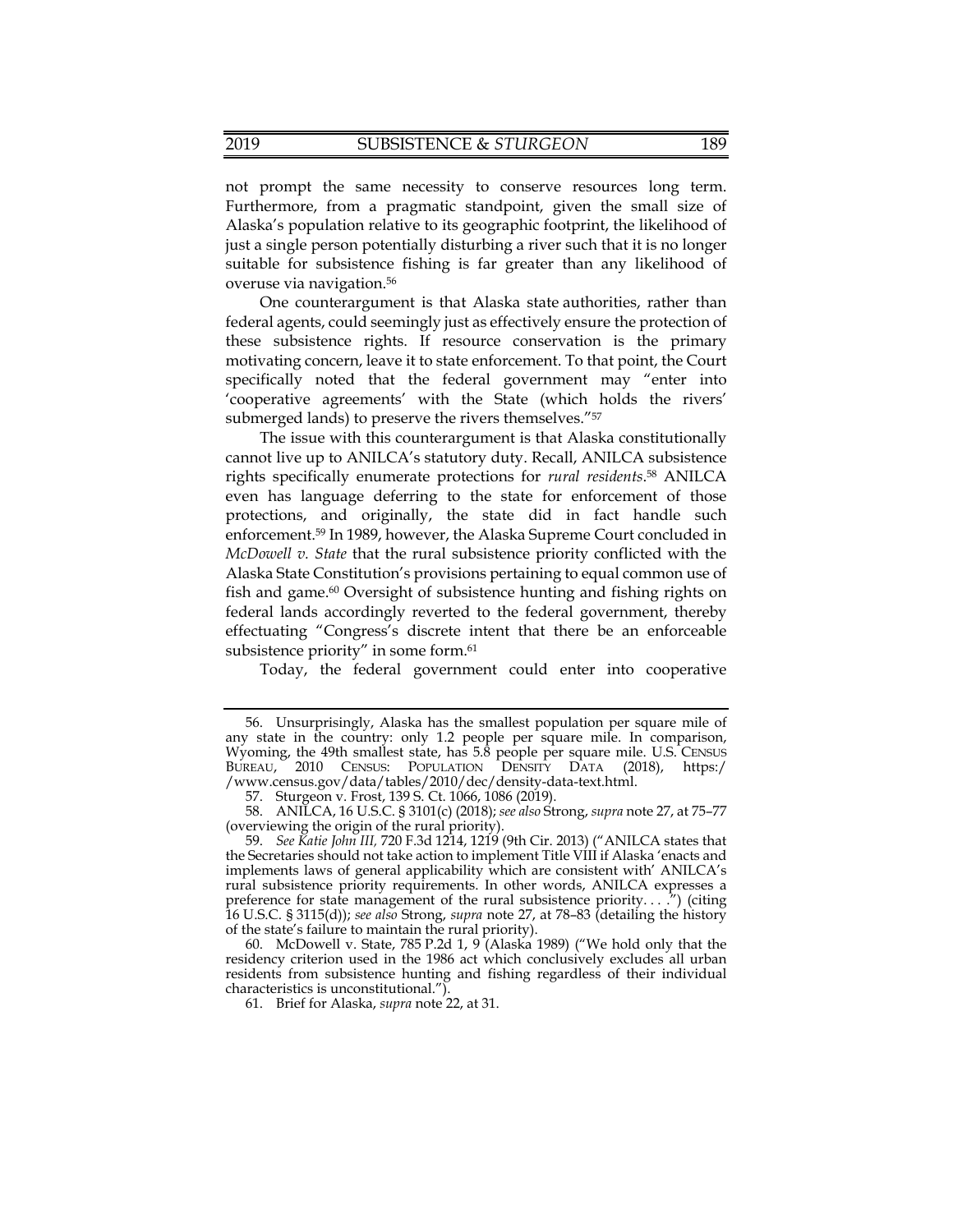not prompt the same necessity to conserve resources long term. Furthermore, from a pragmatic standpoint, given the small size of Alaska's population relative to its geographic footprint, the likelihood of just a single person potentially disturbing a river such that it is no longer suitable for subsistence fishing is far greater than any likelihood of overuse via [navigation.56](https://navigation.56) 

One counterargument is that Alaska state authorities, rather than federal agents, could seemingly just as effectively ensure the protection of these subsistence rights. If resource conservation is the primary motivating concern, leave it to state enforcement. To that point, the Court specifically noted that the federal government may "enter into 'cooperative agreements' with the State (which holds the rivers' submerged lands) to preserve the rivers themselves."<sup>57</sup>

The issue with this counterargument is that Alaska constitutionally cannot live up to ANILCA's statutory duty. Recall, ANILCA subsistence rights specifically enumerate protections for *rural [residents](https://residents.58)*. 58 ANILCA even has language deferring to the state for enforcement of those protections, and originally, the state did in fact handle such [enforcement.59](https://enforcement.59) In 1989, however, the Alaska Supreme Court concluded in *McDowell v. State* that the rural subsistence priority conflicted with the Alaska State Constitution's provisions pertaining to equal common use of fish and game.<sup>60</sup> Oversight of subsistence hunting and fishing rights on federal lands accordingly reverted to the federal government, thereby effectuating "Congress's discrete intent that there be an enforceable subsistence priority" in some form.<sup>61</sup>

Today, the federal government could enter into cooperative

BUREAU, 2010 CENSUS: POPULATION DENSITY DATA (2018), https:/ 56. Unsurprisingly, Alaska has the smallest population per square mile of any state in the country: only 1.2 people per square mile. In comparison, Wyoming, the 49th smallest state, has 5.8 people per square mile. U.S. CENSUS [/www.census.gov/data/tables/2010/dec/density-data-text.html.](www.census.gov/data/tables/2010/dec/density-data-text.html)

<sup>57.</sup> Sturgeon v. Frost, 139 S. Ct. 1066, 1086 (2019).

<sup>58.</sup> ANILCA, 16 U.S.C. § 3101(c) (2018); *see also* Strong, *supra* note 27, at 75–77 (overviewing the origin of the rural priority).

<sup>59.</sup> *See Katie John III,* 720 F.3d 1214, 1219 (9th Cir. 2013) ("ANILCA states that the Secretaries should not take action to implement Title VIII if Alaska 'enacts and implements laws of general applicability which are consistent with' ANILCA's rural subsistence priority requirements. In other words, ANILCA expresses a preference for state management of the rural subsistence priority....") (citing 16 U.S.C. § 3115(d)); *see also* Strong, *supra* note 27, at 78–83 (detailing the history of the state's failure to maintain the rural priority).

<sup>60.</sup> McDowell v. State, 785 P.2d 1, 9 (Alaska 1989) ("We hold only that the residency criterion used in the 1986 act which conclusively excludes all urban residents from subsistence hunting and fishing regardless of their individual characteristics is unconstitutional.").

<sup>61.</sup> Brief for Alaska, *supra* note 22, at 31.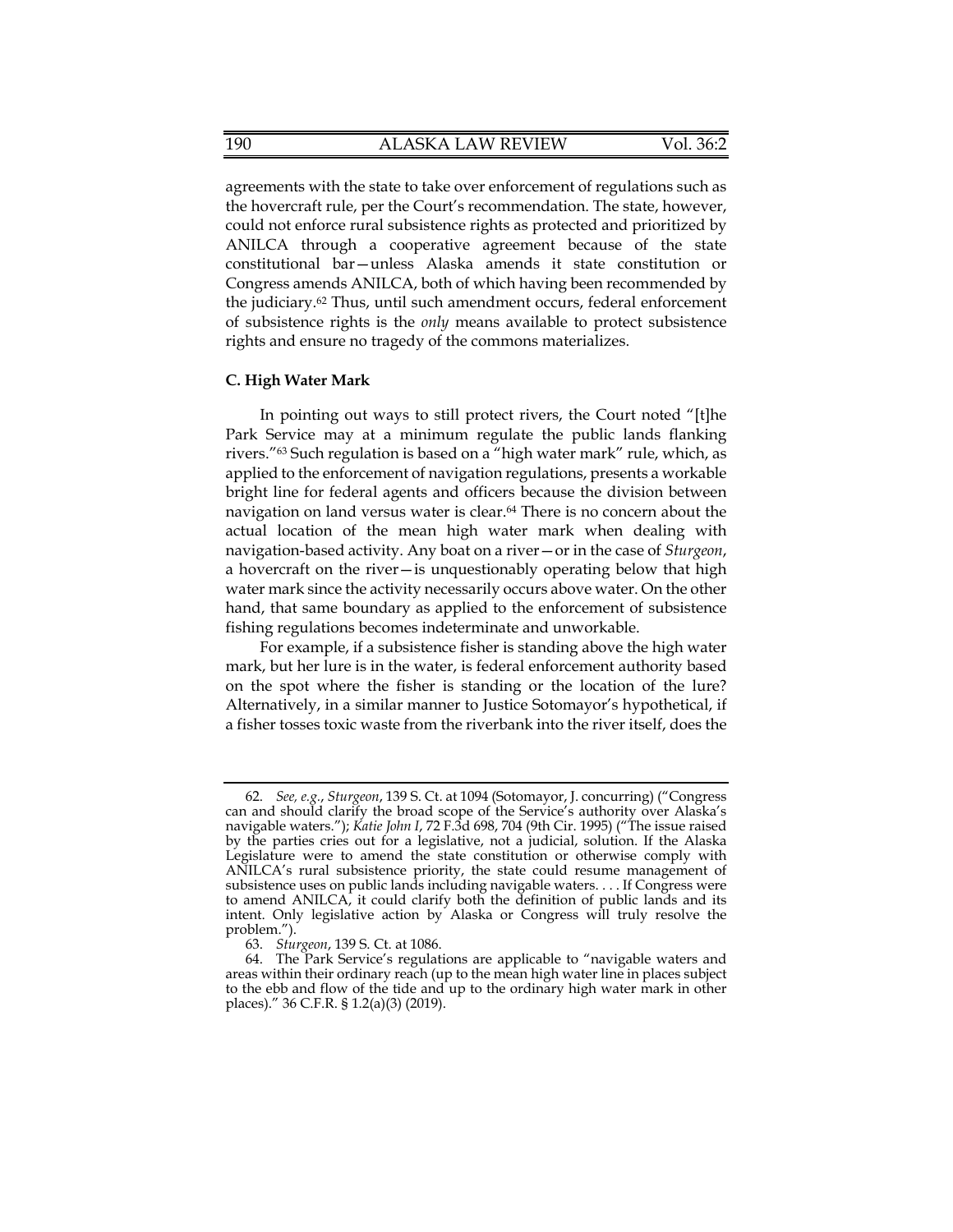agreements with the state to take over enforcement of regulations such as the hovercraft rule, per the Court's recommendation. The state, however, could not enforce rural subsistence rights as protected and prioritized by ANILCA through a cooperative agreement because of the state constitutional bar—unless Alaska amends it state constitution or Congress amends ANILCA, both of which having been recommended by the [judiciary.62](https://judiciary.62) Thus, until such amendment occurs, federal enforcement of subsistence rights is the *only* means available to protect subsistence rights and ensure no tragedy of the commons materializes.

### **C. High Water Mark**

 navigation-based activity. Any boat on a river—or in the case of *Sturgeon*, In pointing out ways to still protect rivers, the Court noted "[t]he Park Service may at a minimum regulate the public lands flanking rivers."63 Such regulation is based on a "high water mark" rule, which, as applied to the enforcement of navigation regulations, presents a workable bright line for federal agents and officers because the division between navigation on land versus water is clear.<sup>64</sup> There is no concern about the actual location of the mean high water mark when dealing with a hovercraft on the river—is unquestionably operating below that high water mark since the activity necessarily occurs above water. On the other hand, that same boundary as applied to the enforcement of subsistence fishing regulations becomes indeterminate and unworkable.

For example, if a subsistence fisher is standing above the high water mark, but her lure is in the water, is federal enforcement authority based on the spot where the fisher is standing or the location of the lure? Alternatively, in a similar manner to Justice Sotomayor's hypothetical, if a fisher tosses toxic waste from the riverbank into the river itself, does the

 subsistence uses on public lands including navigable waters. . . . If Congress were 62. *See, e.g.*, *Sturgeon*, 139 S. Ct. at 1094 (Sotomayor, J. concurring) ("Congress can and should clarify the broad scope of the Service's authority over Alaska's navigable waters."); *Katie John I*, 72 F.3d 698, 704 (9th Cir. 1995) ("The issue raised by the parties cries out for a legislative, not a judicial, solution. If the Alaska Legislature were to amend the state constitution or otherwise comply with ANILCA's rural subsistence priority, the state could resume management of to amend ANILCA, it could clarify both the definition of public lands and its intent. Only legislative action by Alaska or Congress will truly resolve the problem.").

<sup>63.</sup> *Sturgeon*, 139 S. Ct. at 1086.

<sup>64.</sup> The Park Service's regulations are applicable to "navigable waters and areas within their ordinary reach (up to the mean high water line in places subject to the ebb and flow of the tide and up to the ordinary high water mark in other places)." 36 C.F.R. § 1.2(a)(3) (2019).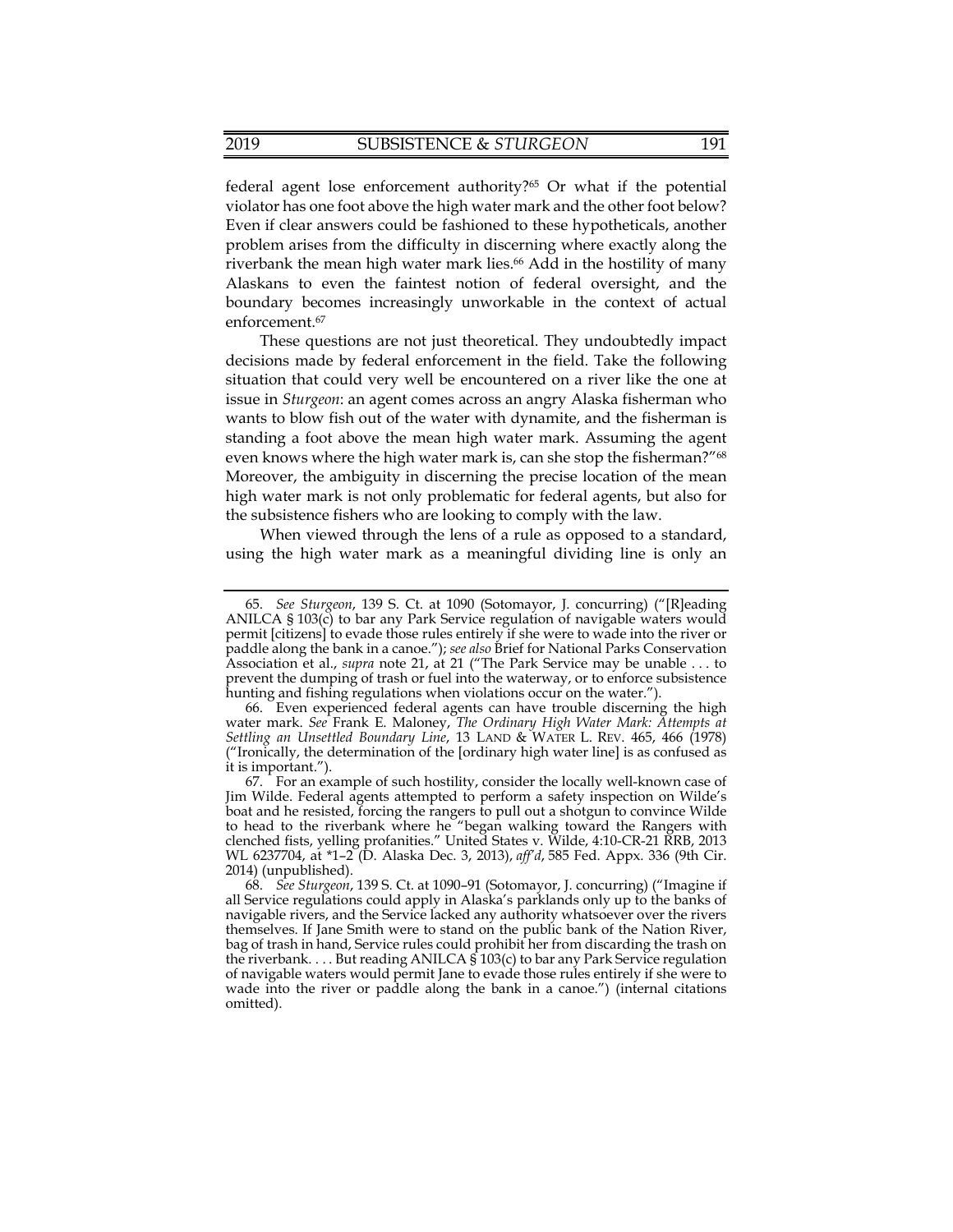federal agent lose enforcement authority?<sup>65</sup> Or what if the potential violator has one foot above the high water mark and the other foot below? Even if clear answers could be fashioned to these hypotheticals, another problem arises from the difficulty in discerning where exactly along the riverbank the mean high water mark lies.<sup>66</sup> Add in the hostility of many Alaskans to even the faintest notion of federal oversight, and the boundary becomes increasingly unworkable in the context of actual enforcement.<sup>67</sup>

 issue in *Sturgeon*: an agent comes across an angry Alaska fisherman who These questions are not just theoretical. They undoubtedly impact decisions made by federal enforcement in the field. Take the following situation that could very well be encountered on a river like the one at wants to blow fish out of the water with dynamite, and the fisherman is standing a foot above the mean high water mark. Assuming the agent even knows where the high water mark is, can she stop the fisherman?"68 Moreover, the ambiguity in discerning the precise location of the mean high water mark is not only problematic for federal agents, but also for the subsistence fishers who are looking to comply with the law.

When viewed through the lens of a rule as opposed to a standard, using the high water mark as a meaningful dividing line is only an

 Association et al., *supra* note 21, at 21 ("The Park Service may be unable . . . to 65. *See Sturgeon*, 139 S. Ct. at 1090 (Sotomayor, J. concurring) ("[R]eading ANILCA  $\S 103(c)$  to bar any Park Service regulation of navigable waters would permit [citizens] to evade those rules entirely if she were to wade into the river or paddle along the bank in a canoe."); *see also* Brief for National Parks Conservation prevent the dumping of trash or fuel into the waterway, or to enforce subsistence hunting and fishing regulations when violations occur on the water.").

<sup>66.</sup> Even experienced federal agents can have trouble discerning the high water mark. *See* Frank E. Maloney, *The Ordinary High Water Mark: Attempts at Settling an Unsettled Boundary Line*, 13 LAND & WATER L. REV. 465, 466 (1978) ("Ironically, the determination of the [ordinary high water line] is as confused as it is important.").

<sup>67.</sup> For an example of such hostility, consider the locally well-known case of Jim Wilde. Federal agents attempted to perform a safety inspection on Wilde's boat and he resisted, forcing the rangers to pull out a shotgun to convince Wilde to head to the riverbank where he "began walking toward the Rangers with clenched fists, yelling profanities." United States v. Wilde, 4:10-CR-21 RRB, 2013 WL 6237704, at \*1–2 (D. Alaska Dec. 3, 2013), *aff'd*, 585 Fed. Appx. 336 (9th Cir. 2014) (unpublished).

<sup>68.</sup> *See Sturgeon*, 139 S. Ct. at 1090–91 (Sotomayor, J. concurring) ("Imagine if all Service regulations could apply in Alaska's parklands only up to the banks of navigable rivers, and the Service lacked any authority whatsoever over the rivers themselves. If Jane Smith were to stand on the public bank of the Nation River, bag of trash in hand, Service rules could prohibit her from discarding the trash on the riverbank. . . . But reading ANILCA § 103(c) to bar any Park Service regulation of navigable waters would permit Jane to evade those rules entirely if she were to wade into the river or paddle along the bank in a canoe.") (internal citations omitted).